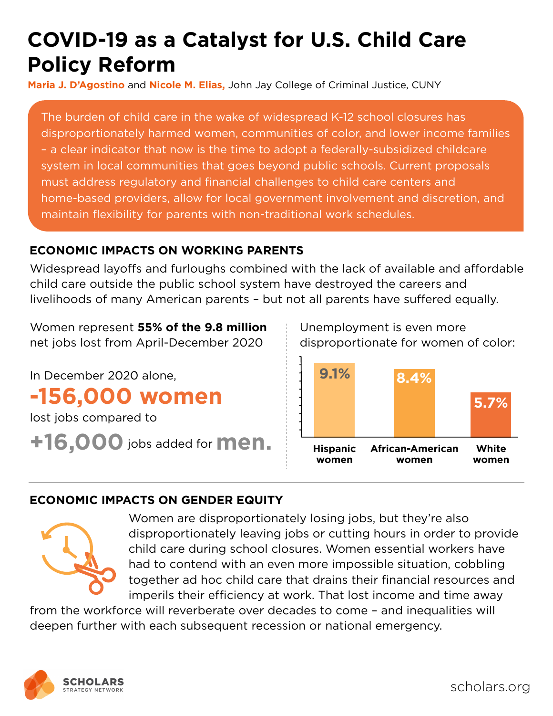# **COVID-19 as a Catalyst for U.S. Child Care Policy Reform**

**Maria J. D'Agostino** and **Nicole M. Elias,** John Jay College of Criminal Justice, CUNY

The burden of child care in the wake of widespread K-12 school closures has disproportionately harmed women, communities of color, and lower income families – a clear indicator that now is the time to adopt a federally-subsidized childcare system in local communities that goes beyond public schools. Current proposals must address regulatory and financial challenges to child care centers and home-based providers, allow for local government involvement and discretion, and maintain flexibility for parents with non-traditional work schedules.

# **ECONOMIC IMPACTS ON WORKING PARENTS**

Widespread layoffs and furloughs combined with the lack of available and affordable child care outside the public school system have destroyed the careers and livelihoods of many American parents - but not all parents have suffered equally.

Women represent **55% of the 9.8 million** net jobs lost from April-December 2020

In December 2020 alone, **-156,000 women** lost jobs compared to **+16,000** jobs added for **men.** Unemployment is even more disproportionate for women of color:



# **ECONOMIC IMPACTS ON GENDER EQUITY**



Women are disproportionately losing jobs, but they're also disproportionately leaving jobs or cutting hours in order to provide child care during school closures. Women essential workers have had to contend with an even more impossible situation, cobbling together ad hoc child care that drains their financial resources and imperils their efficiency at work. That lost income and time away

from the workforce will reverberate over decades to come – and inequalities will deepen further with each subsequent recession or national emergency.